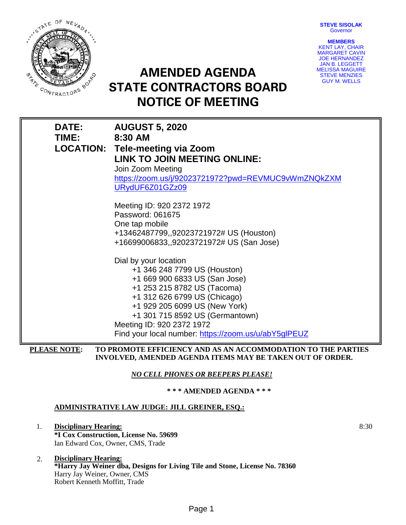**STEVE SISOLAK Governor** 



**AMENDED AGENDA STATE CONTRACTORS BOARD NOTICE OF MEETING**



| <b>DATE:</b> | <b>AUGUST 5, 2020</b>                                        |
|--------------|--------------------------------------------------------------|
| <b>TIME:</b> | 8:30 AM                                                      |
|              | <b>LOCATION: Tele-meeting via Zoom</b>                       |
|              | LINK TO JOIN MEETING ONLINE:                                 |
|              | Join Zoom Meeting                                            |
|              | https://zoom.us/j/92023721972?pwd=REVMUC9vWmZNQkZXM          |
|              | URydUF6Z01GZz09                                              |
|              | Meeting ID: 920 2372 1972                                    |
|              | Password: 061675                                             |
|              | One tap mobile                                               |
|              | +13462487799,,92023721972# US (Houston)                      |
|              | +16699006833,,92023721972# US (San Jose)                     |
|              | Dial by your location                                        |
|              | +1 346 248 7799 US (Houston)                                 |
|              | +1 669 900 6833 US (San Jose)                                |
|              | +1 253 215 8782 US (Tacoma)                                  |
|              | +1 312 626 6799 US (Chicago)                                 |
|              | +1 929 205 6099 US (New York)                                |
|              | +1 301 715 8592 US (Germantown)                              |
|              | Meeting ID: 920 2372 1972                                    |
|              | Find your local number: https://zoom.us/u/abY5glPEUZ         |
| PLEASE NOTE: | TO PROMOTE EFFICIENCY AND AS AN ACCOMMODATION TO THE PARTIES |

**PLEASE NOTE: TO PROMOTE EFFICIENCY AND AS AN ACCOMMODATION TO THE PARTIES INVOLVED, AMENDED AGENDA ITEMS MAY BE TAKEN OUT OF ORDER.**

*NO CELL PHONES OR BEEPERS PLEASE!* 

**\* \* \* AMENDED AGENDA \* \* \***

# **ADMINISTRATIVE LAW JUDGE: JILL GREINER, ESQ.:**

- 1. **Disciplinary Hearing: \*I Cox Construction, License No. 59699** Ian Edward Cox, Owner, CMS, Trade
- 2. **Disciplinary Hearing: \*Harry Jay Weiner dba, Designs for Living Tile and Stone, License No. 78360** Harry Jay Weiner, Owner, CMS Robert Kenneth Moffitt, Trade

8:30